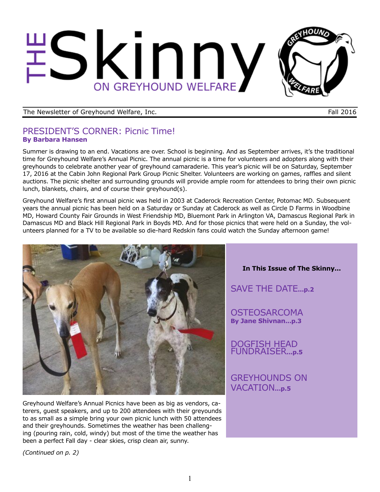# Skinny ON GREYHOUND WELFARE

The Newsletter of Greyhound Welfare, Inc. The Newsletter of Greyhound Welfare, Inc.

## PRESIDENT'S CORNER: Picnic Time! **By Barbara Hansen**

Summer is drawing to an end. Vacations are over. School is beginning. And as September arrives, it's the traditional time for Greyhound Welfare's Annual Picnic. The annual picnic is a time for volunteers and adopters along with their greyhounds to celebrate another year of greyhound camaraderie. This year's picnic will be on Saturday, September 17, 2016 at the Cabin John Regional Park Group Picnic Shelter. Volunteers are working on games, raffles and silent auctions. The picnic shelter and surrounding grounds will provide ample room for attendees to bring their own picnic lunch, blankets, chairs, and of course their greyhound(s).

Greyhound Welfare's first annual picnic was held in 2003 at Caderock Recreation Center, Potomac MD. Subsequent years the annual picnic has been held on a Saturday or Sunday at Caderock as well as Circle D Farms in Woodbine MD, Howard County Fair Grounds in West Friendship MD, Bluemont Park in Arlington VA, Damascus Regional Park in Damascus MD and Black Hill Regional Park in Boyds MD. And for those picnics that were held on a Sunday, the volunteers planned for a TV to be available so die-hard Redskin fans could watch the Sunday afternoon game!



Greyhound Welfare's Annual Picnics have been as big as vendors, caterers, guest speakers, and up to 200 attendees with their greyounds to as small as a simple bring your own picnic lunch with 50 attendees and their greyhounds. Sometimes the weather has been challenging (pouring rain, cold, windy) but most of the time the weather has been a perfect Fall day - clear skies, crisp clean air, sunny.

**In This Issue of The Skinny...**

SAVE THE DATE**...p.2**

**OSTEOSARCOMA By Jane Shivnan...p.3**

DOGFISH HEAD FUNDRAISER**...p.5**

GREYHOUNDS ON VACATION**...p.5**

*(Continued on p. 2)*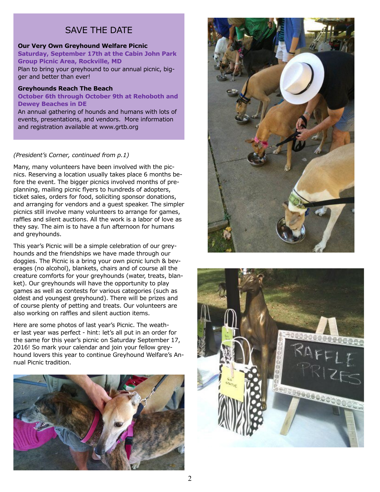## SAVE THE DATE

#### **Our Very Own Greyhound Welfare Picnic**

**Saturday, September 17th at the Cabin John Park Group Picnic Area, Rockville, MD**  Plan to bring your greyhound to our annual picnic, bigger and better than ever!

#### **Greyhounds Reach The Beach**

**October 6th through October 9th at Rehoboth and Dewey Beaches in DE**

An annual gathering of hounds and humans with lots of events, presentations, and vendors. More information and registration available at www.grtb.org

#### *(President's Corner, continued from p.1)*

Many, many volunteers have been involved with the picnics. Reserving a location usually takes place 6 months before the event. The bigger picnics involved months of preplanning, mailing picnic flyers to hundreds of adopters, ticket sales, orders for food, soliciting sponsor donations, and arranging for vendors and a guest speaker. The simpler picnics still involve many volunteers to arrange for games, raffles and silent auctions. All the work is a labor of love as they say. The aim is to have a fun afternoon for humans and greyhounds.

This year's Picnic will be a simple celebration of our greyhounds and the friendships we have made through our doggies. The Picnic is a bring your own picnic lunch & beverages (no alcohol), blankets, chairs and of course all the creature comforts for your greyhounds (water, treats, blanket). Our greyhounds will have the opportunity to play games as well as contests for various categories (such as oldest and youngest greyhound). There will be prizes and of course plenty of petting and treats. Our volunteers are also working on raffles and silent auction items.

Here are some photos of last year's Picnic. The weather last year was perfect - hint: let's all put in an order for the same for this year's picnic on Saturday September 17, 2016! So mark your calendar and join your fellow greyhound lovers this year to continue Greyhound Welfare's Annual Picnic tradition.





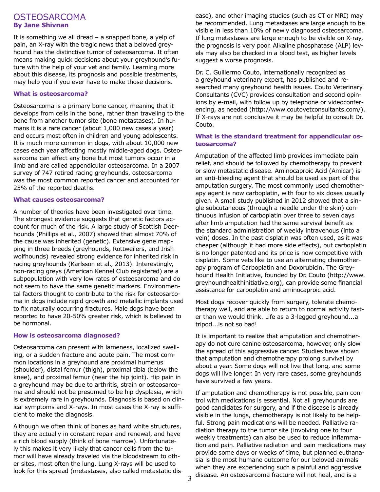### **OSTEOSARCOMA By Jane Shivnan**

It is something we all dread – a snapped bone, a yelp of pain, an X-ray with the tragic news that a beloved greyhound has the distinctive tumor of osteosarcoma. It often means making quick decisions about your greyhound's future with the help of your vet and family. Learning more about this disease, its prognosis and possible treatments, may help you if you ever have to make those decisions.

#### **What is osteosarcoma?**

Osteosarcoma is a primary bone cancer, meaning that it develops from cells in the bone, rather than traveling to the bone from another tumor site (bone metastases). In humans it is a rare cancer (about 1,000 new cases a year) and occurs most often in children and young adolescents. It is much more common in dogs, with about 10,000 new cases each year affecting mostly middle-aged dogs. Osteosarcoma can affect any bone but most tumors occur in a limb and are called appendicular osteosarcoma. In a 2007 survey of 747 retired racing greyhounds, osteosarcoma was the most common reported cancer and accounted for 25% of the reported deaths.

#### **What causes osteosarcoma?**

A number of theories have been investigated over time. The strongest evidence suggests that genetic factors account for much of the risk. A large study of Scottish Deerhounds (Phillips et al., 2007) showed that almost 70% of the cause was inherited (genetic). Extensive gene mapping in three breeds (greyhounds, Rottweilers, and Irish wolfhounds) revealed strong evidence for inherited risk in racing greyhounds (Karlsson et al., 2013). Interestingly, non-racing greys (American Kennel Club registered) are a subpopulation with very low rates of osteosarcoma and do not seem to have the same genetic markers. Environmental factors thought to contribute to the risk for osteosarcoma in dogs include rapid growth and metallic implants used to fix naturally occurring fractures. Male dogs have been reported to have 20-50% greater risk, which is believed to be hormonal.

#### **How is osteosarcoma diagnosed?**

Osteosarcoma can present with lameness, localized swelling, or a sudden fracture and acute pain. The most common locations in a greyhound are proximal humerus (shoulder), distal femur (thigh), proximal tibia (below the knee), and proximal femur (near the hip joint). Hip pain in a greyhound may be due to arthritis, strain or osteosarcoma and should not be presumed to be hip dysplasia, which is extremely rare in greyhounds. Diagnosis is based on clinical symptoms and X-rays. In most cases the X-ray is sufficient to make the diagnosis.

Although we often think of bones as hard white structures, they are actually in constant repair and renewal, and have a rich blood supply (think of bone marrow). Unfortunately this makes it very likely that cancer cells from the tumor will have already traveled via the bloodstream to other sites, most often the lung. Lung X-rays will be used to look for this spread (metastases, also called metastatic disease), and other imaging studies (such as CT or MRI) may be recommended. Lung metastases are large enough to be visible in less than 10% of newly diagnosed osteosarcoma. If lung metastases are large enough to be visible on X-ray, the prognosis is very poor. Alkaline phosphatase (ALP) levels may also be checked in a blood test, as higher levels suggest a worse prognosis.

Dr. C. Guillermo Couto, internationally recognized as a greyhound veterinary expert, has published and researched many greyhound health issues. Couto Veterinary Consultants (CVC) provides consultation and second opinions by e-mail, with follow up by telephone or videoconferencing, as needed (http://www.coutovetconsultants.com/). If X-rays are not conclusive it may be helpful to consult Dr. Couto.

#### **What is the standard treatment for appendicular osteosarcoma?**

Amputation of the affected limb provides immediate pain relief, and should be followed by chemotherapy to prevent or slow metastatic disease. Aminocaproic Acid (Amicar) is an anti-bleeding agent that should be used as part of the amputation surgery. The most commonly used chemotherapy agent is now carboplatin, with four to six doses usually given. A small study published in 2012 showed that a single subcutaneous (through a needle under the skin) continuous infusion of carboplatin over three to seven days after limb amputation had the same survival benefit as the standard administration of weekly intravenous (into a vein) doses. In the past cisplatin was often used, as it was cheaper (although it had more side effects), but carboplatin is no longer patented and its price is now competitive with cisplatin. Some vets like to use an alternating chemotherapy program of Carboplatin and Doxorubicin. The Greyhound Health Initiative, founded by Dr. Couto (http://www. greyhoundhealthinitiative.org), can provide some financial assistance for carboplatin and aminocaproic acid.

Most dogs recover quickly from surgery, tolerate chemotherapy well, and are able to return to normal activity faster than we would think. Life as a 3-legged greyhound...a tripod...is not so bad!

It is important to realize that amputation and chemotherapy do not cure canine osteosarcoma, however, only slow the spread of this aggressive cancer. Studies have shown that amputation and chemotherapy prolong survival by about a year. Some dogs will not live that long, and some dogs will live longer. In very rare cases, some greyhounds have survived a few years.

If amputation and chemotherapy is not possible, pain control with medications is essential. Not all greyhounds are good candidates for surgery, and if the disease is already visible in the lungs, chemotherapy is not likely to be helpful. Strong pain medications will be needed. Palliative radiation therapy to the tumor site (involving one to four weekly treatments) can also be used to reduce inflammation and pain. Palliative radiation and pain medications may provide some days or weeks of time, but planned euthanasia is the most humane outcome for our beloved animals when they are experiencing such a painful and aggressive disease. An osteosarcoma fracture will not heal, and is a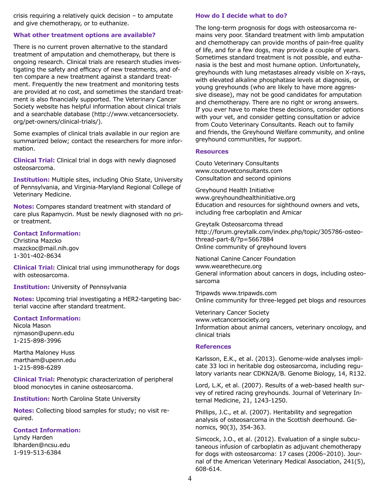crisis requiring a relatively quick decision – to amputate and give chemotherapy, or to euthanize.

#### **What other treatment options are available?**

There is no current proven alternative to the standard treatment of amputation and chemotherapy, but there is ongoing research. Clinical trials are research studies investigating the safety and efficacy of new treatments, and often compare a new treatment against a standard treatment. Frequently the new treatment and monitoring tests are provided at no cost, and sometimes the standard treatment is also financially supported. The Veterinary Cancer Society website has helpful information about clinical trials and a searchable database (http://www.vetcancersociety. org/pet-owners/clinical-trials/).

Some examples of clinical trials available in our region are summarized below; contact the researchers for more information.

**Clinical Trial:** Clinical trial in dogs with newly diagnosed osteosarcoma.

**Institution:** Multiple sites, including Ohio State, University of Pennsylvania, and Virginia-Maryland Regional College of Veterinary Medicine.

**Notes:** Compares standard treatment with standard of care plus Rapamycin. Must be newly diagnosed with no prior treatment.

#### **Contact Information:**

Christina Mazcko mazckoc@mail.nih.gov 1-301-402-8634

**Clinical Trial:** Clinical trial using immunotherapy for dogs with osteosarcoma.

#### **Institution:** University of Pennsylvania

**Notes:** Upcoming trial investigating a HER2-targeting bacterial vaccine after standard treatment.

#### **Contact Information:**

Nicola Mason njmason@upenn.edu 1-215-898-3996

Martha Maloney Huss martham@upenn.edu 1-215-898-6289

**Clinical Trial:** Phenotypic characterization of peripheral blood monocytes in canine osteosarcoma.

#### **Institution:** North Carolina State University

**Notes:** Collecting blood samples for study; no visit required.

#### **Contact Information:**

Lyndy Harden lbharden@ncsu.edu 1-919-513-6384

#### **How do I decide what to do?**

The long-term prognosis for dogs with osteosarcoma remains very poor. Standard treatment with limb amputation and chemotherapy can provide months of pain-free quality of life, and for a few dogs, may provide a couple of years. Sometimes standard treatment is not possible, and euthanasia is the best and most humane option. Unfortunately, greyhounds with lung metastases already visible on X-rays, with elevated alkaline phosphatase levels at diagnosis, or young greyhounds (who are likely to have more aggressive disease), may not be good candidates for amputation and chemotherapy. There are no right or wrong answers. If you ever have to make these decisions, consider options with your vet, and consider getting consultation or advice from Couto Veterinary Consultants. Reach out to family and friends, the Greyhound Welfare community, and online greyhound communities, for support.

#### **Resources**

Couto Veterinary Consultants www.coutovetconsultants.com Consultation and second opinions

Greyhound Health Initiative www.greyhoundhealthinitiative.org Education and resources for sighthound owners and vets, including free carboplatin and Amicar

Greytalk Osteosarcoma thread http://forum.greytalk.com/index.php/topic/305786-osteothread-part-8/?p=5667884 Online community of greyhound lovers

National Canine Cancer Foundation www.wearethecure.org General information about cancers in dogs, including osteosarcoma

Tripawds www.tripawds.com Online community for three-legged pet blogs and resources

Veterinary Cancer Society www.vetcancersociety.org Information about animal cancers, veterinary oncology, and clinical trials

#### **References**

Karlsson, E.K., et al. (2013). Genome-wide analyses implicate 33 loci in heritable dog osteosarcoma, including regulatory variants near CDKN2A/B. Genome Biology, 14, R132.

Lord, L.K, et al. (2007). Results of a web-based health survey of retired racing greyhounds. Journal of Veterinary Internal Medicine, 21, 1243-1250.

Phillips, J.C., et al. (2007). Heritability and segregation analysis of osteosarcoma in the Scottish deerhound. Genomics, 90(3), 354-363.

Simcock, J.O., et al. (2012). Evaluation of a single subcutaneous infusion of carboplatin as adjuvant chemotherapy for dogs with osteosarcoma: 17 cases (2006–2010). Journal of the American Veterinary Medical Association, 241(5), 608-614.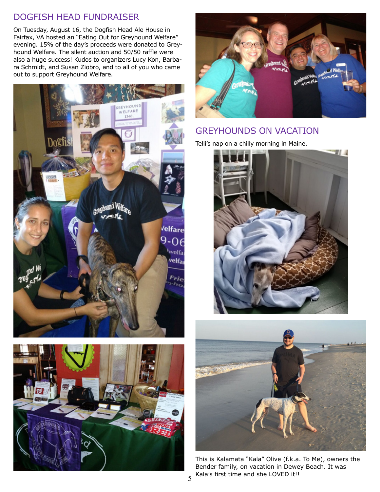# DOGFISH HEAD FUNDRAISER

On Tuesday, August 16, the Dogfish Head Ale House in Fairfax, VA hosted an "Eating Out for Greyhound Welfare" evening. 15% of the day's proceeds were donated to Greyhound Welfare. The silent auction and 50/50 raffle were also a huge success! Kudos to organizers Lucy Kon, Barbara Schmidt, and Susan Ziobro, and to all of you who came out to support Greyhound Welfare.







## GREYHOUNDS ON VACATION

Telli's nap on a chilly morning in Maine.





This is Kalamata "Kala" Olive (f.k.a. To Me), owners the Bender family, on vacation in Dewey Beach. It was Kala's first time and she LOVED it!!